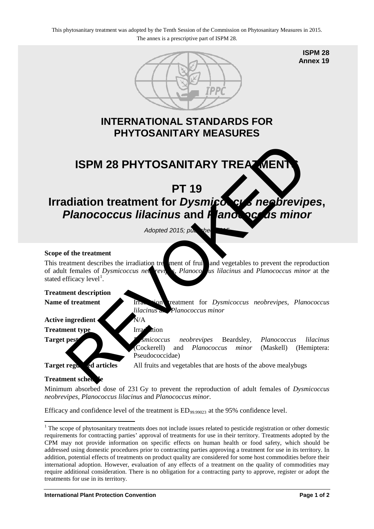

**ISPM 28 Annex 19**

# **INTERNATIONAL STANDARDS FOR PHYTOSANITARY MEASURES**

**ISPM 28 PHYTOSANITARY TREATMENT** 

# **PT 19 Irradiation treatment for** *Dysmicocus* **neobrevipes,** *Planococcus lilacinus* **and** *Planococcus minor* ISPM 28 PHYTOSANITARY TREATMENT<br>
PT 19<br>
ISPM occurs interactment for Dysmic CV and Depending the CV and the properties of the treatment<br>
Adopted 2015, pt and vegetables to prevent the representation of the treatment<br>
of t

Adopted 2015; published 2015

# **Scope of the treatment**

This treatment describes the irradiation treatment of fruit and vegetables to prevent the reproduction of adult females of *Dysmicoccus ned* revipes, *Planoco* us lilacinus and *Planococcus minor* at the stated efficacy level<sup>1</sup>.

# **Treatment description**

Name of treatment **IFRE IFRE IFRE IFRE IFRE IFRE IFRE IFRE IFRE IFRE IFRE IFRE IFRE IFRE IFRE IFRE IFRE IFRE IFRE IFRE IFRE IFRE IFRE IFRE IFRE IFRE IFRE IFRE IFRE** *lilacinus* and *Planococcus minor* 

# **Active ingredient** N/A

**Treatment type Irradiation** 

**Target pest** *Dysmicoccus neobrevipes* Beardsley, *Planococcus lilacinus* (Cockerell) and *Planococcus minor* (Maskell) (Hemiptera: Pseudococcidae)

**Target regularies** All fruits and vegetables that are hosts of the above mealybugs

# **Treatment sched**

Minimum absorbed dose of 231 Gy to prevent the reproduction of adult females of *Dysmicoccus neobrevipes*, *Planococcus lilacinus* and *Planococcus minor*.

Efficacy and confidence level of the treatment is  $ED_{99,99023}$  at the 95% confidence level.

<span id="page-0-0"></span><sup>&</sup>lt;sup>1</sup> The scope of phytosanitary treatments does not include issues related to pesticide registration or other domestic requirements for contracting parties' approval of treatments for use in their territory. Treatments adopted by the CPM may not provide information on specific effects on human health or food safety, which should be addressed using domestic procedures prior to contracting parties approving a treatment for use in its territory. In addition, potential effects of treatments on product quality are considered for some host commodities before their international adoption. However, evaluation of any effects of a treatment on the quality of commodities may require additional consideration. There is no obligation for a contracting party to approve, register or adopt the treatments for use in its territory. -